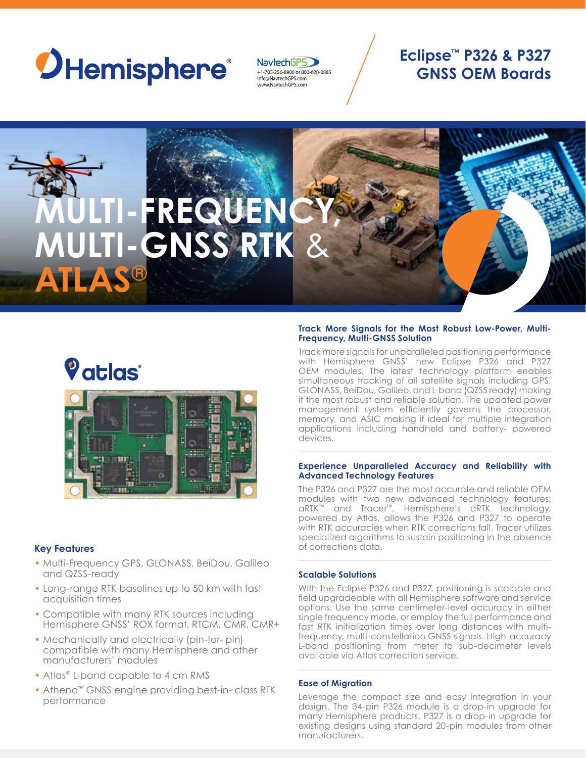# *OHemisphere*

NavtechGPS +1-703-256-8900 or 800-628-0885 info@NavtechGPS.com www.NavtechGPS.com

### **Eclipse™ P326 & P327 GNSS OEM Boards**



## *Vatlas*



#### **Key Features**

- Multi-Frequency GPS, GLONASS, BeiDou, Galileo and QZSS-ready
- Long-range RTK baselines up to 50 km with fast acquisition times
- Compatible with many RTK sources including Hemisphere GNSS' ROX format, RTCM, CMR, CMR+
- Mechanically and electrically (pin-for- pin) compatible with many Hemisphere and other manufacturers' modules
- Atlas® L-band capable to 4 cm RMS
- Athena™ GNSS engine providing best-in- class RTK performance

#### **Track More Signals for the Most Robust Low-Power, Multi-Frequency, Multi-GNSS Solution**

Track more signals for unparalleled positioning performance with Hemisphere GNSS' new Eclipse P326 and P327 OEM modules. The latest technology platform enables simultaneous tracking of all satellite signals including GPS, GLONASS, BeiDou, Galileo, and L-band (QZSS ready) making it the most robust and reliable solution. The updated power management system efficiently governs the processor, memory, and ASIC making it ideal for multiple integration applications including handheld and battery- powered devices.

#### **Experience Unparalleled Accuracy and Reliability with Advanced Technology Features**

The P326 and P327 are the most accurate and reliable OEM modules with two new advanced technology features; aRTK™ and Tracer™. Hemisphere's aRTK technology, powered by Atlas, allows the P326 and P327 to operate with RTK accuracies when RTK corrections fail. Tracer utilizes specialized algorithms to sustain positioning in the absence of corrections data.

#### **Scalable Solutions**

With the Eclipse P326 and P327, positioning is scalable and field upgradeable with all Hemisphere software and service options. Use the same centimeter-level accuracy in either single frequency mode, or employ the full performance and fast RTK initialization times over long distances with multifrequency, multi-constellation GNSS signals. High-accuracy L-band positioning from meter to sub-decimeter levels available via Atlas correction service.

#### **Ease of Migration**

Leverage the compact size and easy integration in your design. The 34-pin P326 module is a drop-in upgrade for many Hemisphere products. P327 is a drop-in upgrade for existing designs using standard 20-pin modules from other manufacturers.